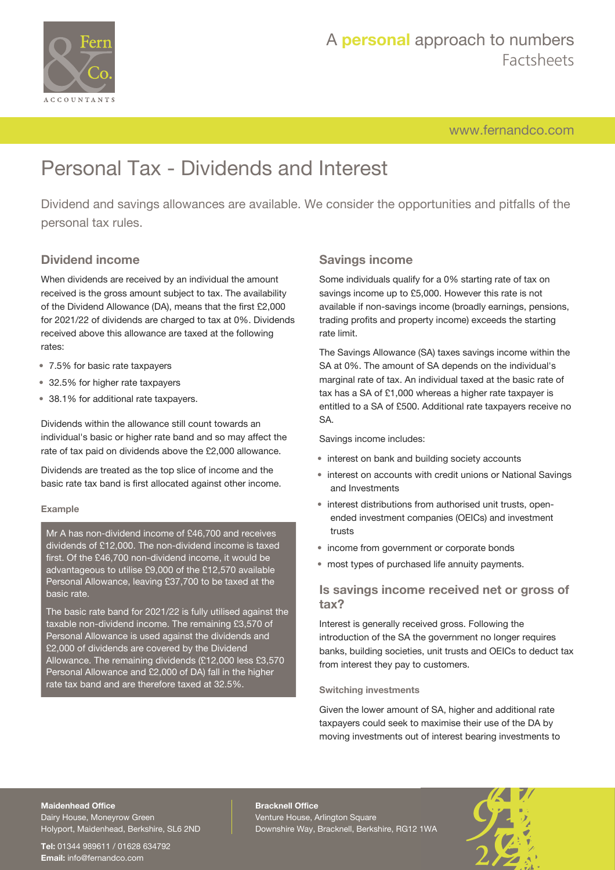

# A **personal** approach to numbers Factsheets

[www.fernandco.com](http://www.fernandco.com)

# Personal Tax - Dividends and Interest

Dividend and savings allowances are available. We consider the opportunities and pitfalls of the personal tax rules.

### **Dividend income**

When dividends are received by an individual the amount received is the gross amount subject to tax. The availability of the Dividend Allowance (DA), means that the first £2,000 for 2021/22 of dividends are charged to tax at 0%. Dividends received above this allowance are taxed at the following rates:

- 7.5% for basic rate taxpayers
- 32.5% for higher rate taxpayers
- 38.1% for additional rate taxpayers.

Dividends within the allowance still count towards an individual's basic or higher rate band and so may affect the rate of tax paid on dividends above the £2,000 allowance.

Dividends are treated as the top slice of income and the basic rate tax band is first allocated against other income.

#### **Example**

Mr A has non-dividend income of £46,700 and receives dividends of £12,000. The non-dividend income is taxed first. Of the £46,700 non-dividend income, it would be advantageous to utilise £9,000 of the £12,570 available Personal Allowance, leaving £37,700 to be taxed at the basic rate.

The basic rate band for 2021/22 is fully utilised against the taxable non-dividend income. The remaining £3,570 of Personal Allowance is used against the dividends and £2,000 of dividends are covered by the Dividend Allowance. The remaining dividends (£12,000 less £3,570 Personal Allowance and £2,000 of DA) fall in the higher rate tax band and are therefore taxed at 32.5%.

### **Savings income**

Some individuals qualify for a 0% starting rate of tax on savings income up to £5,000. However this rate is not available if non-savings income (broadly earnings, pensions, trading profits and property income) exceeds the starting rate limit.

The Savings Allowance (SA) taxes savings income within the SA at 0%. The amount of SA depends on the individual's marginal rate of tax. An individual taxed at the basic rate of tax has a SA of £1,000 whereas a higher rate taxpayer is entitled to a SA of £500. Additional rate taxpayers receive no SA.

Savings income includes:

- interest on bank and building society accounts
- interest on accounts with credit unions or National Savings and Investments
- interest distributions from authorised unit trusts, openended investment companies (OEICs) and investment trusts
- income from government or corporate bonds
- most types of purchased life annuity payments.

### **Is savings income received net or gross of tax?**

Interest is generally received gross. Following the introduction of the SA the government no longer requires banks, building societies, unit trusts and OEICs to deduct tax from interest they pay to customers.

#### **Switching investments**

Given the lower amount of SA, higher and additional rate taxpayers could seek to maximise their use of the DA by moving investments out of interest bearing investments to

#### **Maidenhead Office**

Dairy House, Moneyrow Green Holyport, Maidenhead, Berkshire, SL6 2ND

**Tel:** 01344 989611 / 01628 634792 **Email:** [info@fernandco.com](mailto:info@fernandco.com)

**Bracknell Office** Venture House, Arlington Square Downshire Way, Bracknell, Berkshire, RG12 1WA